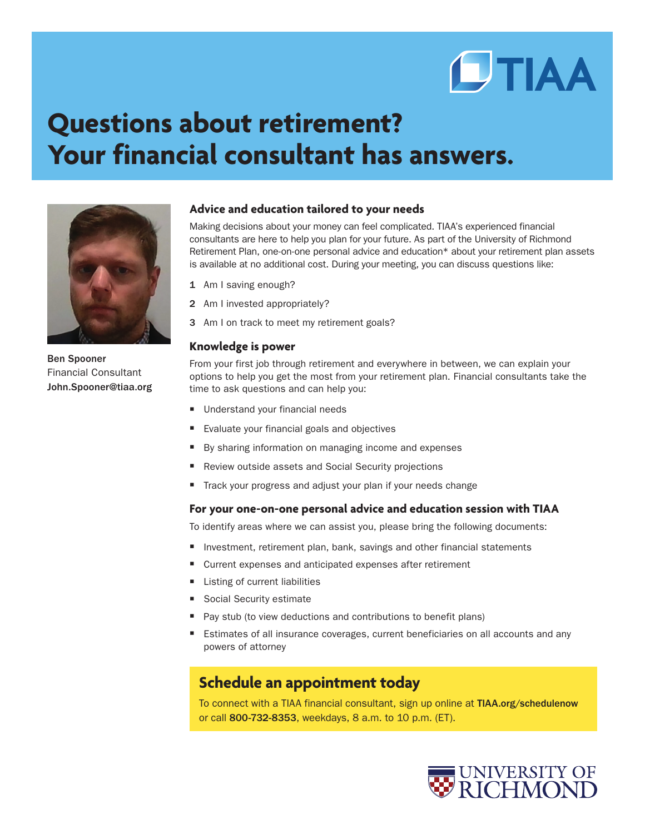# **OTIAA**

## **Questions about retirement? Your financial consultant has answers.**



Ben Spooner Financial Consultant John.Spooner@tiaa.org

#### **Advice and education tailored to your needs**

Making decisions about your money can feel complicated. TIAA's experienced financial consultants are here to help you plan for your future. As part of the University of Richmond Retirement Plan, one-on-one personal advice and education\* about your retirement plan assets is available at no additional cost. During your meeting, you can discuss questions like:

- 1 Am I saving enough?
- 2 Am I invested appropriately?
- 3 Am I on track to meet my retirement goals?

#### **Knowledge is power**

From your first job through retirement and everywhere in between, we can explain your options to help you get the most from your retirement plan. Financial consultants take the time to ask questions and can help you:

- Understand your financial needs
- **Evaluate your financial goals and objectives**
- By sharing information on managing income and expenses
- Review outside assets and Social Security projections
- Track your progress and adjust your plan if your needs change

#### **For your one-on-one personal advice and education session with TIAA**

To identify areas where we can assist you, please bring the following documents:

- $\blacksquare$  Investment, retirement plan, bank, savings and other financial statements
- Current expenses and anticipated expenses after retirement
- **E** Listing of current liabilities
- Social Security estimate
- $\blacksquare$  Pay stub (to view deductions and contributions to benefit plans)
- **Extimates of all insurance coverages, current beneficiaries on all accounts and any** powers of attorney

### **Schedule an appointment today**

To connect with a TIAA financial consultant, sign up online at [TIAA.org/schedulenow](https://shared.tiaa.org/public/publictools/events/meetingatworkplace?employerId=1-6787-20) or call 800-732-8353, weekdays, 8 a.m. to 10 p.m. (ET).